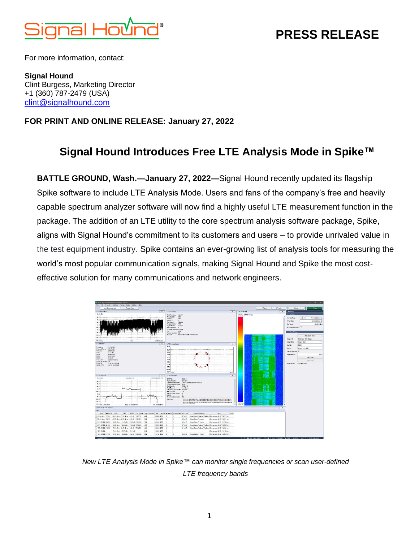

## **PRESS RELEASE**

For more information, contact:

**Signal Hound** Clint Burgess, Marketing Director +1 (360) 787-2479 (USA) [clint@signalhound.com](mailto:clint@signalhound.com)

## **FOR PRINT AND ONLINE RELEASE: January 27, 2022**

## **Signal Hound Introduces Free LTE Analysis Mode in Spike™**

**BATTLE GROUND, Wash.—January 27, 2022—**Signal Hound recently updated its flagship Spike software to include LTE Analysis Mode. Users and fans of the company's free and heavily capable spectrum analyzer software will now find a highly useful LTE measurement function in the package. The addition of an LTE utility to the core spectrum analysis software package, Spike, aligns with Signal Hound's commitment to its customers and users – to provide unrivaled value in the test equipment industry. Spike contains an ever-growing list of analysis tools for measuring the world's most popular communication signals, making Signal Hound and Spike the most costeffective solution for many communications and network engineers.



*New LTE Analysis Mode in Spike™ can monitor single frequencies or scan user-defined LTE frequency bands*